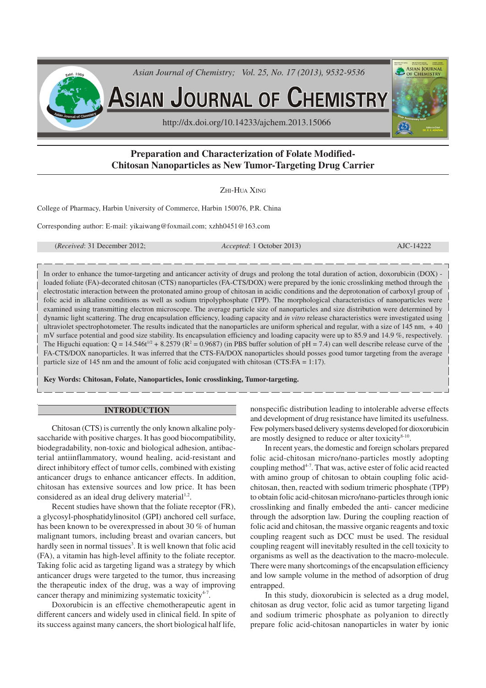

# **Preparation and Characterization of Folate Modified-Chitosan Nanoparticles as New Tumor-Targeting Drug Carrier**

ZHI-HUA XING

College of Pharmacy, Harbin University of Commerce, Harbin 150076, P.R. China

Corresponding author: E-mail: yikaiwang@foxmail.com; xzhh0451@163.com

(*Received*: 31 December 2012; *Accepted*: 1 October 2013) AJC-14222

In order to enhance the tumor-targeting and anticancer activity of drugs and prolong the total duration of action, doxorubicin (DOX) loaded foliate (FA)-decorated chitosan (CTS) nanoparticles (FA-CTS/DOX) were prepared by the ionic crosslinking method through the electrostatic interaction between the protonated amino group of chitosan in acidic conditions and the deprotonation of carboxyl group of folic acid in alkaline conditions as well as sodium tripolyphosphate (TPP). The morphological characteristics of nanoparticles were examined using transmitting electron microscope. The average particle size of nanoparticles and size distribution were determined by dynamic light scattering. The drug encapsulation efficiency, loading capacity and *in vitro* release characteristics were investigated using ultraviolet spectrophotometer. The results indicated that the nanoparticles are uniform spherical and regular, with a size of 145 nm, + 40 mV surface potential and good size stability. Its encapsulation efficiency and loading capacity were up to 85.9 and 14.9 %, respectively. The Higuchi equation:  $Q = 14.546t^{1/2} + 8.2579(R^2 = 0.9687)$  (in PBS buffer solution of pH = 7.4) can well describe release curve of the FA-CTS/DOX nanoparticles. It was inferred that the CTS-FA/DOX nanoparticles should posses good tumor targeting from the average particle size of 145 nm and the amount of folic acid conjugated with chitosan (CTS:FA = 1:17).

**Key Words: Chitosan, Folate, Nanoparticles, Ionic crosslinking, Tumor-targeting.**

### **INTRODUCTION**

Chitosan (CTS) is currently the only known alkaline polysaccharide with positive charges. It has good biocompatibility, biodegradability, non-toxic and biological adhesion, antibacterial antiinflammatory, wound healing, acid-resistant and direct inhibitory effect of tumor cells, combined with existing anticancer drugs to enhance anticancer effects. In addition, chitosan has extensive sources and low price. It has been considered as an ideal drug delivery material $1,2$ .

Recent studies have shown that the foliate receptor (FR), a glycosyl-phosphatidylinositol (GPI) anchored cell surface, has been known to be overexpressed in about 30 % of human malignant tumors, including breast and ovarian cancers, but hardly seen in normal tissues<sup>3</sup>. It is well known that folic acid (FA), a vitamin has high-level affinity to the foliate receptor. Taking folic acid as targeting ligand was a strategy by which anticancer drugs were targeted to the tumor, thus increasing the therapeutic index of the drug, was a way of improving cancer therapy and minimizing systematic toxicity<sup>4-7</sup>.

Doxorubicin is an effective chemotherapeutic agent in different cancers and widely used in clinical field. In spite of its success against many cancers, the short biological half life, nonspecific distribution leading to intolerable adverse effects and development of drug resistance have limited its usefulness. Few polymers based delivery systems developed for dioxorubicin are mostly designed to reduce or alter toxicity<sup>8-10</sup>.

In recent years, the domestic and foreign scholars prepared folic acid-chitosan micro/nano-particles mostly adopting coupling method<sup>4-7</sup>. That was, active ester of folic acid reacted with amino group of chitosan to obtain coupling folic acidchitosan, then, reacted with sodium trimeric phosphate (TPP) to obtain folic acid-chitosan micro/nano-particles through ionic crosslinking and finally embeded the anti- cancer medicine through the adsorption law. During the coupling reaction of folic acid and chitosan, the massive organic reagents and toxic coupling reagent such as DCC must be used. The residual coupling reagent will inevitably resulted in the cell toxicity to organisms as well as the deactivation to the macro-molecule. There were many shortcomings of the encapsulation efficiency and low sample volume in the method of adsorption of drug entrapped.

In this study, dioxorubicin is selected as a drug model, chitosan as drug vector, folic acid as tumor targeting ligand and sodium trimeric phosphate as polyanion to directly prepare folic acid-chitosan nanoparticles in water by ionic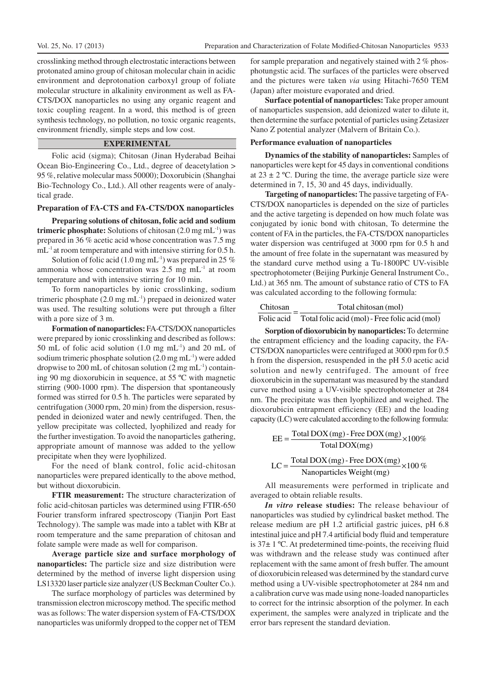crosslinking method through electrostatic interactions between protonated amino group of chitosan molecular chain in acidic environment and deprotonation carboxyl group of foliate molecular structure in alkalinity environment as well as FA-CTS/DOX nanoparticles no using any organic reagent and toxic coupling reagent. In a word, this method is of green synthesis technology, no pollution, no toxic organic reagents, environment friendly, simple steps and low cost.

## **EXPERIMENTAL**

Folic acid (sigma); Chitosan (Jinan Hyderabad Beihai Ocean Bio-Engineering Co., Ltd., degree of deacetylation > 95 %, relative molecular mass 50000); Doxorubicin (Shanghai Bio-Technology Co., Ltd.). All other reagents were of analytical grade.

#### **Preparation of FA-CTS and FA-CTS/DOX nanoparticles**

**Preparing solutions of chitosan, folic acid and sodium trimeric phosphate:**Solutions of chitosan (2.0 mg mL-1) was prepared in 36 % acetic acid whose concentration was 7.5 mg mL<sup>-1</sup> at room temperature and with intensive stirring for 0.5 h.

Solution of folic acid (1.0 mg mL $^{-1}$ ) was prepared in 25 % ammonia whose concentration was  $2.5 \text{ mg} \text{ mL}^{-1}$  at room temperature and with intensive stirring for 10 min.

To form nanoparticles by ionic crosslinking, sodium trimeric phosphate  $(2.0 \text{ mg mL}^{-1})$  prepaed in deionized water was used. The resulting solutions were put through a filter with a pore size of 3 m.

**Formation of nanoparticles:** FA-CTS/DOX nanoparticles were prepared by ionic crosslinking and described as follows: 50 mL of folic acid solution  $(1.0 \text{ mg} \text{ mL}^{-1})$  and 20 mL of sodium trimeric phosphate solution (2.0 mg mL-1) were added dropwise to 200 mL of chitosan solution  $(2 \text{ mg } \text{mL}^{-1})$  containing 90 mg dioxorubicin in sequence, at 55 ºC with magnetic stirring (900-1000 rpm). The dispersion that spontaneously formed was stirred for 0.5 h. The particles were separated by centrifugation (3000 rpm, 20 min) from the dispersion, resuspended in deionized water and newly centrifuged. Then, the yellow precipitate was collected, lyophilized and ready for the further investigation. To avoid the nanoparticles gathering, appropriate amount of mannose was added to the yellow precipitate when they were lyophilized.

For the need of blank control, folic acid-chitosan nanoparticles were prepared identically to the above method, but without dioxorubicin.

**FTIR measurement:** The structure characterization of folic acid-chitosan particles was determined using FTIR-650 Fourier transform infrared spectroscopy (Tianjin Port East Technology). The sample was made into a tablet with KBr at room temperature and the same preparation of chitosan and folate sample were made as well for comparison.

**Average particle size and surface morphology of nanoparticles:** The particle size and size distribution were determined by the method of inverse light dispersion using LS13320 laser particle size analyzer (US Beckman Coulter Co.).

The surface morphology of particles was determined by transmission electron microscopy method. The specific method was as follows: The water dispersion system of FA-CTS/DOX nanoparticles was uniformly dropped to the copper net of TEM

for sample preparation and negatively stained with 2 % phosphotungstic acid. The surfaces of the particles were observed and the pictures were taken *via* using Hitachi-7650 TEM (Japan) after moisture evaporated and dried.

**Surface potential of nanoparticles:** Take proper amount of nanoparticles suspension, add deionized water to dilute it, then determine the surface potential of particles using Zetasizer Nano Z potential analyzer (Malvern of Britain Co.).

#### **Performance evaluation of nanoparticles**

**Dynamics of the stability of nanoparticles:**Samples of nanoparticles were kept for 45 days in conventional conditions at  $23 \pm 2$  °C. During the time, the average particle size were determined in 7, 15, 30 and 45 days, individually.

**Targeting of nanoparticles:** The passive targeting of FA-CTS/DOX nanoparticles is depended on the size of particles and the active targeting is depended on how much folate was conjugated by ionic bond with chitosan, To determine the content of FA in the particles, the FA-CTS/DOX nanoparticles water dispersion was centrifuged at 3000 rpm for 0.5 h and the amount of free folate in the supernatant was measured by the standard curve method using a Tu-1800PC UV-visible spectrophotometer (Beijing Purkinje General Instrument Co., Ltd.) at 365 nm. The amount of substance ratio of CTS to FA was calculated according to the following formula:

| Chitosan |  | Total chitosan (mol) |               |  |  |  |  |
|----------|--|----------------------|---------------|--|--|--|--|
| --       |  |                      | $\sim$ $\sim$ |  |  |  |  |

Total folic acid (mol)- Free folic acid (mol) Folic acid

**Sorption of dioxorubicin by nanoparticles:** To determine the entrapment efficiency and the loading capacity, the FA-CTS/DOX nanoparticles were centrifuged at 3000 rpm for 0.5 h from the dispersion, resuspended in the pH 5.0 acetic acid solution and newly centrifuged. The amount of free dioxorubicin in the supernatant was measured by the standard curve method using a UV-visible spectrophotometer at 284 nm. The precipitate was then lyophilized and weighed. The dioxorubicin entrapment efficiency (EE) and the loading capacity (LC) were calculated according to the following formula:

$$
EE = \frac{\text{Total DOX (mg)} - \text{Free DOX (mg)}}{\text{Total DOX (mg)}} \times 100\%
$$
  
LC = 
$$
\frac{\text{Total DOX (mg)} - \text{Free DOX (mg)}}{\text{Nonoparticles Weight (mg)}} \times 100\%
$$

All measurements were performed in triplicate and averaged to obtain reliable results.

*In vitro* **release studies:** The release behaviour of nanoparticles was studied by cylindrical basket method. The release medium are pH 1.2 artificial gastric juices, pH 6.8 intestinal juice and pH 7.4 artificial body fluid and temperature is  $37\pm 1$  °C. At predetermined time-points, the receiving fluid was withdrawn and the release study was continued after replacement with the same amont of fresh buffer. The amount of dioxorubicin released was determined by the standard curve method using a UV-visible spectrophotometer at 284 nm and a calibration curve was made using none-loaded nanoparticles to correct for the intrinsic absorption of the polymer. In each experiment, the samples were analyzed in triplicate and the error bars represent the standard deviation.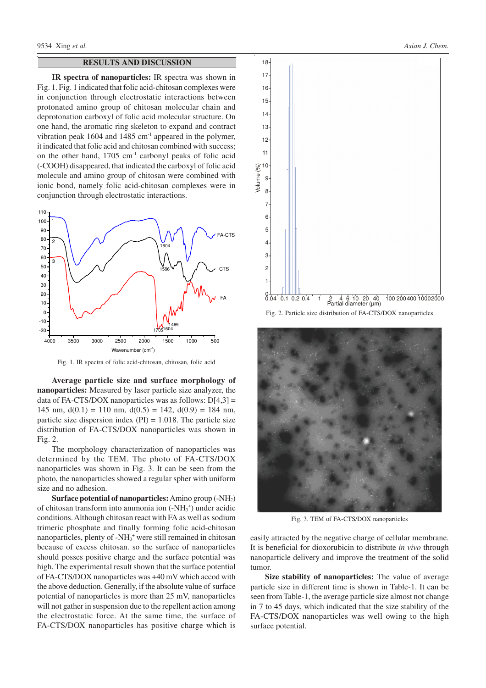## **RESULTS AND DISCUSSION**

**IR spectra of nanoparticles:** IR spectra was shown in Fig. 1. Fig. 1 indicated that folic acid-chitosan complexes were in conjunction through electrostatic interactions between protonated amino group of chitosan molecular chain and deprotonation carboxyl of folic acid molecular structure. On one hand, the aromatic ring skeleton to expand and contract vibration peak  $1604$  and  $1485$  cm<sup>-1</sup> appeared in the polymer, it indicated that folic acid and chitosan combined with success; on the other hand,  $1705 \text{ cm}^{-1}$  carbonyl peaks of folic acid (-COOH) disappeared, that indicated the carboxyl of folic acid molecule and amino group of chitosan were combined with ionic bond, namely folic acid-chitosan complexes were in conjunction through electrostatic interactions.



Fig. 1. IR spectra of folic acid-chitosan, chitosan, folic acid

**Average particle size and surface morphology of nanoparticles:** Measured by laser particle size analyzer, the data of FA-CTS/DOX nanoparticles was as follows:  $D[4,3] =$ 145 nm,  $d(0.1) = 110$  nm,  $d(0.5) = 142$ ,  $d(0.9) = 184$  nm, particle size dispersion index  $(PI) = 1.018$ . The particle size distribution of FA-CTS/DOX nanoparticles was shown in Fig. 2.

The morphology characterization of nanoparticles was determined by the TEM. The photo of FA-CTS/DOX nanoparticles was shown in Fig. 3. It can be seen from the photo, the nanoparticles showed a regular spher with uniform size and no adhesion.

**Surface potential of nanoparticles:**Amino group (-NH2) of chitosan transform into ammonia ion (-NH<sub>3</sub><sup>+</sup>) under acidic conditions. Although chitosan react with FA as well as sodium trimeric phosphate and finally forming folic acid-chitosan nanoparticles, plenty of -NH<sub>3</sub><sup>+</sup> were still remained in chitosan because of excess chitosan. so the surface of nanoparticles should posses positive charge and the surface potential was high. The experimental result shown that the surface potential of FA-CTS/DOX nanoparticles was +40 mV which accod with the above deduction. Generally, if the absolute value of surface potential of nanoparticles is more than 25 mV, nanoparticles will not gather in suspension due to the repellent action among the electrostatic force. At the same time, the surface of FA-CTS/DOX nanoparticles has positive charge which is



Fig. 2. Particle size distribution of FA-CTS/DOX nanoparticles



Fig. 3. TEM of FA-CTS/DOX nanoparticles

easily attracted by the negative charge of cellular membrane. It is beneficial for dioxorubicin to distribute *in vivo* through nanoparticle delivery and improve the treatment of the solid tumor.

**Size stability of nanoparticles:** The value of average particle size in different time is shown in Table-1. It can be seen from Table-1, the average particle size almost not change in 7 to 45 days, which indicated that the size stability of the FA-CTS/DOX nanoparticles was well owing to the high surface potential.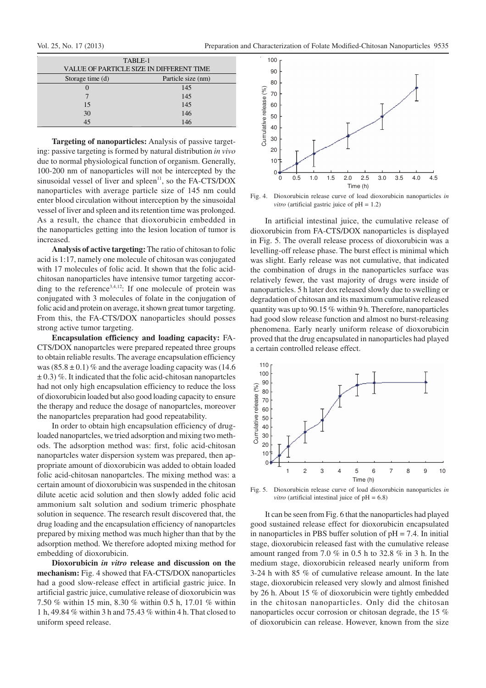| TABLE-1<br>VALUE OF PARTICLE SIZE IN DIFFERENT TIME |                    |  |  |  |  |
|-----------------------------------------------------|--------------------|--|--|--|--|
| Storage time (d)                                    | Particle size (nm) |  |  |  |  |
|                                                     | 145                |  |  |  |  |
|                                                     | 145                |  |  |  |  |
| 15                                                  | 145                |  |  |  |  |
| 30                                                  | 146                |  |  |  |  |
|                                                     | 146                |  |  |  |  |

**Targeting of nanoparticles:** Analysis of passive targeting: passive targeting is formed by natural distribution *in vivo* due to normal physiological function of organism. Generally, 100-200 nm of nanoparticles will not be intercepted by the sinusoidal vessel of liver and spleen $\mathbf{^{11}}$ , so the FA-CTS/DOX nanoparticles with average particle size of 145 nm could enter blood circulation without interception by the sinusoidal vessel of liver and spleen and its retention time was prolonged. As a result, the chance that dioxorubicin embedded in the nanoparticles getting into the lesion location of tumor is increased.

**Analysis of active targeting:** The ratio of chitosan to folic acid is 1:17, namely one molecule of chitosan was conjugated with 17 molecules of folic acid. It shown that the folic acidchitosan nanoparticles have intensive tumor targeting according to the reference<sup>3,4,12</sup>: If one molecule of protein was conjugated with 3 molecules of folate in the conjugation of folic acid and protein on average, it shown great tumor targeting. From this, the FA-CTS/DOX nanoparticles should posses strong active tumor targeting.

**Encapsulation efficiency and loading capacity:** FA-CTS/DOX nanopartcles were prepared repeated three groups to obtain reliable results. The average encapsulation efficiency was  $(85.8 \pm 0.1)$  % and the average loading capacity was (14.6)  $\pm$  0.3) %. It indicated that the folic acid-chitosan nanopartcles had not only high encapsulation efficiency to reduce the loss of dioxorubicin loaded but also good loading capacity to ensure the therapy and reduce the dosage of nanopartcles, moreover the nanopartcles preparation had good repeatability.

In order to obtain high encapsulation efficiency of drugloaded nanopartcles, we tried adsorption and mixing two methods. The adsorption method was: first, folic acid-chitosan nanopartcles water dispersion system was prepared, then appropriate amount of dioxorubicin was added to obtain loaded folic acid-chitosan nanopartcles. The mixing method was: a certain amount of dioxorubicin was suspended in the chitosan dilute acetic acid solution and then slowly added folic acid ammonium salt solution and sodium trimeric phosphate solution in sequence. The research result discovered that, the drug loading and the encapsulation efficiency of nanopartcles prepared by mixing method was much higher than that by the adsorption method. We therefore adopted mixing method for embedding of dioxorubicin.

**Dioxorubicin** *in vitro* **release and discussion on the mechanism:** Fig. 4 showed that FA-CTS/DOX nanoparticles had a good slow-release effect in artificial gastric juice. In artificial gastric juice, cumulative release of dioxorubicin was 7.50 % within 15 min, 8.30 % within 0.5 h, 17.01 % within 1 h, 49.84 % within 3 h and 75.43 % within 4 h. That closed to uniform speed release.



Fig. 4. Dioxorubicin release curve of load dioxorubicin nanoparticles *in vitro* (artificial gastric juice of  $pH = 1.2$ )

In artificial intestinal juice, the cumulative release of dioxorubicin from FA-CTS/DOX nanoparticles is displayed in Fig. 5. The overall release process of dioxorubicin was a levelling-off release phase. The burst effect is minimal which was slight. Early release was not cumulative, that indicated the combination of drugs in the nanoparticles surface was relatively fewer, the vast majority of drugs were inside of nanoparticles. 5 h later dox released slowly due to swelling or degradation of chitosan and its maximum cumulative released quantity was up to 90.15 % within 9 h. Therefore, nanoparticles had good slow release function and almost no burst-releasing phenomena. Early nearly uniform release of dioxorubicin proved that the drug encapsulated in nanoparticles had played a certain controlled release effect.



Fig. 5. Dioxorubicin release curve of load dioxorubicin nanoparticles *in vitro* (artificial intestinal juice of  $pH = 6.8$ )

It can be seen from Fig. 6 that the nanoparticles had played good sustained release effect for dioxorubicin encapsulated in nanoparticles in PBS buffer solution of  $pH = 7.4$ . In initial stage, dioxorubicin released fast with the cumulative release amount ranged from 7.0 % in 0.5 h to 32.8 % in 3 h. In the medium stage, dioxorubicin released nearly uniform from 3-24 h with 85 % of cumulative release amount. In the late stage, dioxorubicin released very slowly and almost finished by 26 h. About 15 % of dioxorubicin were tightly embedded in the chitosan nanoparticles. Only did the chitosan nanoparticles occur corrosion or chitosan degrade, the 15 % of dioxorubicin can release. However, known from the size